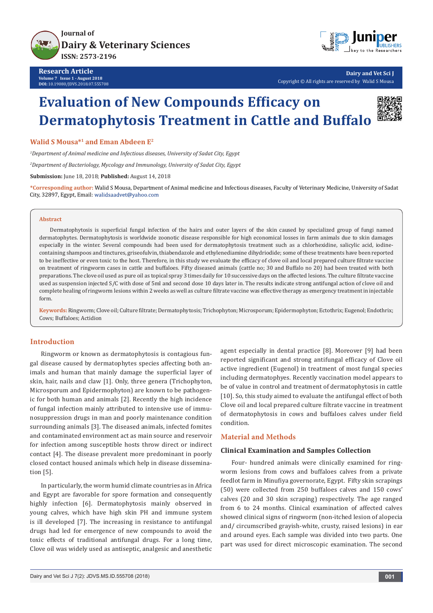



**Dairy and Vet Sci J** Copyright © All rights are reserved by Walid S Mousa

# **Evaluation of New Compounds Efficacy on Dermatophytosis Treatment in Cattle and Buffalo**



**Walid S Mousa\*1 and Eman Abdeen E2**

*1 Department of Animal medicine and Infectious diseases, University of Sadat City, Egypt*

*2 Department of Bacteriology, Mycology and Immunology, University of Sadat City, Egypt*

**Submission:** June 18, 2018; **Published:** August 14, 2018

**\*Corresponding author:** Walid S Mousa, Department of Animal medicine and Infectious diseases, Faculty of Veterinary Medicine, University of Sadat City, 32897, Egypt, Email: walidsaadvet@yahoo.com

#### **Abstract**

Dermatophytosis is superficial fungal infection of the hairs and outer layers of the skin caused by specialized group of fungi named dermatophytes. Dermatophytosis is worldwide zoonotic disease responsible for high economical losses in farm animals due to skin damages especially in the winter. Several compounds had been used for dermatophytosis treatment such as a chlorhexidine, salicylic acid, iodinecontaining shampoos and tinctures, griseofulvin, thiabendazole and ethylenediamine dihydriodide; some of these treatments have been reported to be ineffective or even toxic to the host. Therefore, in this study we evaluate the efficacy of clove oil and local prepared culture filtrate vaccine on treatment of ringworm cases in cattle and buffaloes. Fifty diseased animals (cattle no; 30 and Buffalo no 20) had been treated with both preparations. The clove oil used as pure oil as topical spray 3 times daily for 10 successive days on the affected lesions. The culture filtrate vaccine used as suspension injected S/C with dose of 5ml and second dose 10 days later in. The results indicate strong antifungal action of clove oil and complete healing of ringworm lesions within 2 weeks as well as culture filtrate vaccine was effective therapy as emergency treatment in injectable form.

**Keywords:** Ringworm; Clove oil; Culture filtrate; Dermatophytosis; Trichophyton; Microsporum; Epidermophyton; Ectothrix; Eugenol; Endothrix; Cows; Buffaloes; Actidion

## **Introduction**

Ringworm or known as dermatophytosis is contagious fungal disease caused by dermatophytes species affecting both animals and human that mainly damage the superficial layer of skin, hair, nails and claw [1]. Only, three genera (Trichophyton, Microsporum and Epidermophyton) are known to be pathogenic for both human and animals [2]. Recently the high incidence of fungal infection mainly attributed to intensive use of immunosuppression drugs in man and poorly maintenance condition surrounding animals [3]. The diseased animals, infected fomites and contaminated environment act as main source and reservoir for infection among susceptible hosts throw direct or indirect contact [4]. The disease prevalent more predominant in poorly closed contact housed animals which help in disease dissemination [5].

In particularly, the worm humid climate countries as in Africa and Egypt are favorable for spore formation and consequently highly infection [6]. Dermatophytosis mainly observed in young calves, which have high skin PH and immune system is ill developed [7]. The increasing in resistance to antifungal drugs had led for emergence of new compounds to avoid the toxic effects of traditional antifungal drugs. For a long time, Clove oil was widely used as antiseptic, analgesic and anesthetic agent especially in dental practice [8]. Moreover [9] had been reported significant and strong antifungal efficacy of Clove oil active ingredient (Eugenol) in treatment of most fungal species including dermatophyes. Recently vaccination model appears to be of value in control and treatment of dermatophytosis in cattle [10]. So, this study aimed to evaluate the antifungal effect of both Clove oil and local prepared culture filtrate vaccine in treatment of dermatophytosis in cows and buffaloes calves under field condition.

# **Material and Methods**

### **Clinical Examination and Samples Collection**

Four- hundred animals were clinically examined for ringworm lesions from cows and buffaloes calves from a private feedlot farm in Minufiya governorate, Egypt. Fifty skin scrapings (50) were collected from 250 buffaloes calves and 150 cows' calves (20 and 30 skin scraping) respectively. The age ranged from 6 to 24 months. Clinical examination of affected calves showed clinical signs of ringworm (non-itched lesion of alopecia and/ circumscribed grayish-white, crusty, raised lesions) in ear and around eyes. Each sample was divided into two parts. One part was used for direct microscopic examination. The second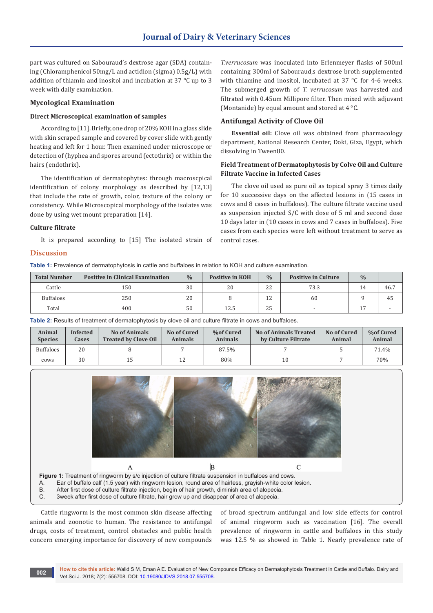part was cultured on Sabouraud's dextrose agar (SDA) containing (Chloramphenicol 50mg/L and actidion (sigma) 0.5g/L) with addition of thiamin and inositol and incubation at 37 °C up to 3 week with daily examination.

#### **Mycological Examination**

### **Direct Microscopical examination of samples**

According to [11]. Briefly, one drop of 20% KOH in a glass slide with skin scraped sample and covered by cover slide with gently heating and left for 1 hour. Then examined under microscope or detection of (hyphea and spores around (ectothrix) or within the hairs (endothrix).

The identification of dermatophytes: through macroscpical identification of colony morphology as described by [12,13] that include the rate of growth, color, texture of the colony or consistency. While Microscopical morphology of the isolates was done by using wet mount preparation [14].

## **Culture filtrate**

It is prepared according to [15] The isolated strain of

#### **Discussion**

**Table 1:** Prevalence of dermatophytosis in cattle and buffaloes in relation to KOH and culture examination.

| <b>Total Number</b> | <b>Positive in Clinical Examination</b> | $\frac{0}{0}$ | <b>Positive in KOH</b> | $\frac{0}{0}$ | <b>Positive in Culture</b> | $\frac{0}{0}$ |      |
|---------------------|-----------------------------------------|---------------|------------------------|---------------|----------------------------|---------------|------|
| Cattle              | 150                                     | 30            | 20                     | 22            | 73.3                       |               | 46.7 |
| <b>Buffaloes</b>    | 250                                     | 20            |                        | 12            | 60                         |               | -45  |
| Total               | 400                                     | 50            | 12.5                   | 25            |                            |               |      |

**Table 2:** Results of treatment of dermatophytosis by clove oil and culture filtrate in cows and buffaloes.

| Animal<br><b>Species</b> | <b>Infected</b><br>Cases | No of Animals<br><b>Treated by Clove Oil</b> | No of Cured<br>Animals | <b>%of Cured</b><br>Animals | No of Animals Treated<br>by Culture Filtrate | No of Cured<br>Animal | <b>%of Cured</b><br>Animal |
|--------------------------|--------------------------|----------------------------------------------|------------------------|-----------------------------|----------------------------------------------|-----------------------|----------------------------|
| <b>Buffaloes</b>         | 20                       |                                              |                        | 87.5%                       |                                              |                       | 71.4%                      |
| cows                     | 30                       | 15                                           | 12                     | 80%                         | 10                                           |                       | 70%                        |



Cattle ringworm is the most common skin disease affecting animals and zoonotic to human. The resistance to antifungal drugs, costs of treatment, control obstacles and public health concern emerging importance for discovery of new compounds

of broad spectrum antifungal and low side effects for control of animal ringworm such as vaccination [16]. The overall prevalence of ringworm in cattle and buffaloes in this study was 12.5 % as showed in Table 1. Nearly prevalence rate of

*T.verrucosum* was inoculated into Erlenmeyer flasks of 500ml containing 300ml of Sabouraud,s dextrose broth supplemented with thiamine and inositol, incubated at 37 °C for 4-6 weeks. The submerged growth of *T. verrucosum* was harvested and filtrated with 0.45um Millipore filter. Then mixed with adjuvant

**Essential oil:** Clove oil was obtained from pharmacology department, National Research Center, Doki, Giza, Egypt, which

**Field Treatment of Dermatophytosis by Colve Oil and Culture** 

The clove oil used as pure oil as topical spray 3 times daily for 10 successive days on the affected lesions in (15 cases in cows and 8 cases in buffaloes). The culture filtrate vaccine used as suspension injected S/C with dose of 5 ml and second dose 10 days later in (10 cases in cows and 7 cases in buffaloes). Five cases from each species were left without treatment to serve as

(Montanide) by equal amount and stored at 4 °C.

**Antifungal Activity of Clove Oil**

**Filtrate Vaccine in Infected Cases**

dissolving in Tween80.

control cases.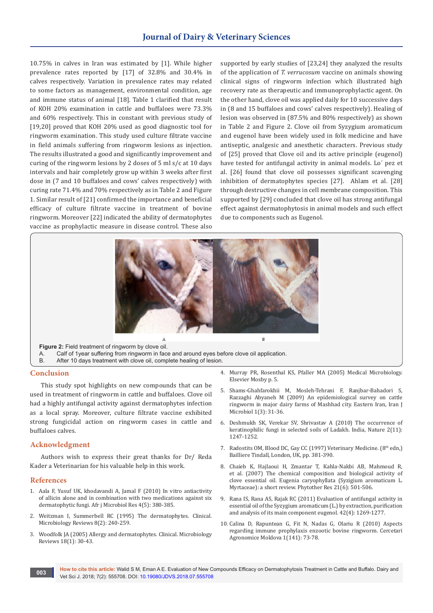10.75% in calves in Iran was estimated by [1]. While higher prevalence rates reported by [17] of 32.8% and 30.4% in calves respectively. Variation in prevalence rates may related to some factors as management, environmental condition, age and immune status of animal [18]. Table 1 clarified that result of KOH 20% examination in cattle and buffaloes were 73.3% and 60% respectively. This in constant with previous study of [19,20] proved that KOH 20% used as good diagnostic tool for ringworm examination. This study used culture filtrate vaccine in field animals suffering from ringworm lesions as injection. The results illustrated a good and significantly improvement and curing of the ringworm lesions by 2 doses of 5 ml s/c at 10 days intervals and hair completely grow up within 3 weeks after first dose in (7 and 10 buffaloes and cows' calves respectively) with curing rate 71.4% and 70% respectively as in Table 2 and Figure 1. Similar result of [21] confirmed the importance and beneficial efficacy of culture filtrate vaccine in treatment of bovine ringworm. Moreover [22] indicated the ability of dermatophytes vaccine as prophylactic measure in disease control. These also

supported by early studies of [23,24] they analyzed the results of the application of *T. verrucosum* vaccine on animals showing clinical signs of ringworm infection which illustrated high recovery rate as therapeutic and immunoprophylactic agent. On the other hand, clove oil was applied daily for 10 successive days in (8 and 15 buffaloes and cows' calves respectively). Healing of lesion was observed in (87.5% and 80% respectively) as shown in Table 2 and Figure 2. Clove oil from Syzygium aromaticum and eugenol have been widely used in folk medicine and have antiseptic, analgesic and anesthetic characters. Previous study of [25] proved that Clove oil and its active principle (eugenol) have tested for antifungal activity in animal models. Lo´ pez et al. [26] found that clove oil possesses significant scavenging inhibition of dermatophytes species [27]. Ahlam et al. [28] through destructive changes in cell membrane composition. This supported by [29] concluded that clove oil has strong antifungal effect against dermatophytosis in animal models and such effect due to components such as Eugenol.



**Figure 2:** Field treatment of ringworm by clove oil.

A. Calf of 1year suffering from ringworm in face and around eyes before clove oil application.<br>B. After 10 days treatment with clove oil complete healing of lesion

After 10 days treatment with clove oil, complete healing of lesion.

## **Conclusion**

This study spot highlights on new compounds that can be used in treatment of ringworm in cattle and buffaloes. Clove oil had a highly antifungal activity against dermatophytes infection as a local spray. Moreover, culture filtrate vaccine exhibited strong fungicidal action on ringworm cases in cattle and buffaloes calves.

#### **Acknowledgment**

Authors wish to express their great thanks for Dr/ Reda Kader a Veterinarian for his valuable help in this work.

#### **References**

- 1. [Aala F, Yusuf UK, khodavandi A, Jamal F \(2010\) In vitro antiactivity](http://citeseerx.ist.psu.edu/viewdoc/download?doi=10.1.1.836.3200&rep=rep1&type=pdf)  [of allicin alone and in combination with two medications against six](http://citeseerx.ist.psu.edu/viewdoc/download?doi=10.1.1.836.3200&rep=rep1&type=pdf)  [dermatophytic fungi. Afr j Microbiol Res 4\(5\): 380-385.](http://citeseerx.ist.psu.edu/viewdoc/download?doi=10.1.1.836.3200&rep=rep1&type=pdf)
- 2. [Weitzman I, Summerbell RC \(1995\) The dermatophytes. Clinical.](https://www.ncbi.nlm.nih.gov/pubmed/7621400)  [Microbiology Reviews 8\(2\): 240-259.](https://www.ncbi.nlm.nih.gov/pubmed/7621400)
- 3. [Woodfolk JA \(2005\) Allergy and dermatophytes. Clinical. Microbiology](https://www.ncbi.nlm.nih.gov/pubmed/15653817)  [Reviews 18\(1\): 30-43.](https://www.ncbi.nlm.nih.gov/pubmed/15653817)
- 4. Murray PR, Rosenthal KS, Pfaller MA (2005) Medical Microbiology. Elsevier Mosby p. 5.
- 5. [Shams-Ghahfarokhii M, Mosleh-Tehrani F, Ranjbar-Bahadori S,](http://ijm.tums.ac.ir/index.php/ijm/article/view/27)  [Razzaghi Abyaneh M \(2009\) An epidemiological survey on cattle](http://ijm.tums.ac.ir/index.php/ijm/article/view/27)  [ringworm in major dairy farms of Mashhad city. Eastern Iran, Iran J](http://ijm.tums.ac.ir/index.php/ijm/article/view/27)  [Microbiol 1\(3\): 31-36.](http://ijm.tums.ac.ir/index.php/ijm/article/view/27)
- 6. Deshmukh SK, Verekar SV, Shrivastav A (2010) The occurrence of keratinophilic fungi in selected soils of Ladakh. India, Nature 2(11): 1247-1252.
- 7. Radostits OM, Blood DC, Gay CC (1997) Veterinary Medicine. (8th edn,) Bailliere Tindall, London, UK, pp. 381-390.
- 8. [Chaieb K, Hajlaoui H, Zmantar T, Kahla-Nakbi AB, Mahmoud R,](https://www.ncbi.nlm.nih.gov/pubmed/17380552)  [et al. \(2007\) The chemical composition and biological activity of](https://www.ncbi.nlm.nih.gov/pubmed/17380552)  [clove essential oil. Eugenia caryophyllata \(Syzigium aromaticum L.](https://www.ncbi.nlm.nih.gov/pubmed/17380552)  [Myrtaceae\): a short review. Phytother Res 21\(6\): 501-506.](https://www.ncbi.nlm.nih.gov/pubmed/17380552)
- 9. [Rana IS, Rana AS, Rajak RC \(2011\) Evaluation of antifungal activity in](https://www.ncbi.nlm.nih.gov/pubmed/24031751)  [essential oil of the Syzygium aromaticum \(L.\) by extraction, purification](https://www.ncbi.nlm.nih.gov/pubmed/24031751)  [and analysis of its main component eugenol. 42\(4\): 1269-1277.](https://www.ncbi.nlm.nih.gov/pubmed/24031751)
- 10. Calina D, Rapuntean G, Fit N, Nadas G, Olariu R (2010) Aspects regarding immune prophylaxis enzootic bovine ringworm. Cercetari Agronomice Moldova 1(141): 73-78.